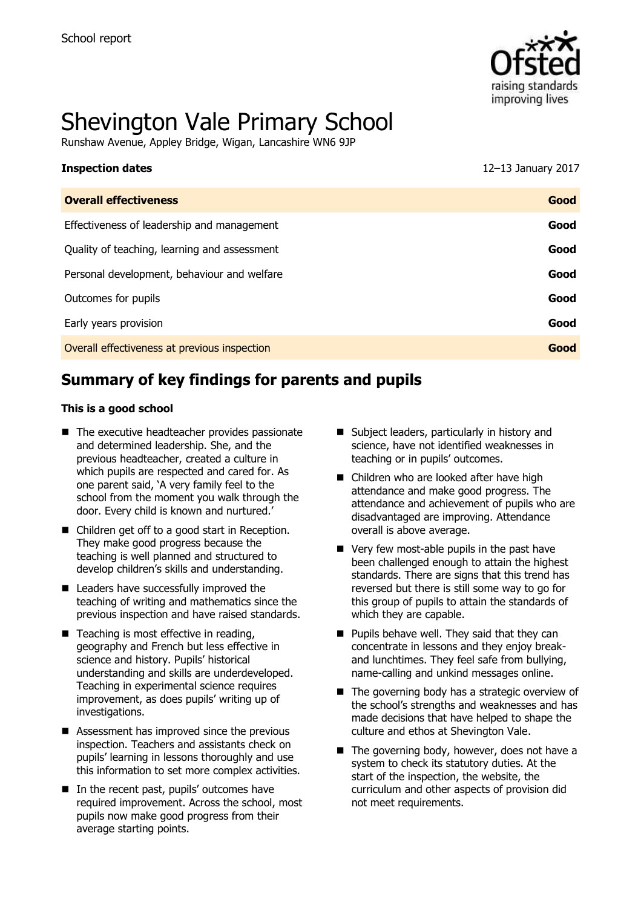

# Shevington Vale Primary School

Runshaw Avenue, Appley Bridge, Wigan, Lancashire WN6 9JP

| <b>Inspection dates</b>                      | 12-13 January 2017 |
|----------------------------------------------|--------------------|
| <b>Overall effectiveness</b>                 | Good               |
| Effectiveness of leadership and management   | Good               |
| Quality of teaching, learning and assessment | Good               |
| Personal development, behaviour and welfare  | Good               |
| Outcomes for pupils                          | Good               |
| Early years provision                        | Good               |
| Overall effectiveness at previous inspection | Good               |
|                                              |                    |

# **Summary of key findings for parents and pupils**

#### **This is a good school**

- The executive headteacher provides passionate and determined leadership. She, and the previous headteacher, created a culture in which pupils are respected and cared for. As one parent said, 'A very family feel to the school from the moment you walk through the door. Every child is known and nurtured.'
- Children get off to a good start in Reception. They make good progress because the teaching is well planned and structured to develop children's skills and understanding.
- Leaders have successfully improved the teaching of writing and mathematics since the previous inspection and have raised standards.
- Teaching is most effective in reading, geography and French but less effective in science and history. Pupils' historical understanding and skills are underdeveloped. Teaching in experimental science requires improvement, as does pupils' writing up of investigations.
- Assessment has improved since the previous inspection. Teachers and assistants check on pupils' learning in lessons thoroughly and use this information to set more complex activities.
- In the recent past, pupils' outcomes have required improvement. Across the school, most pupils now make good progress from their average starting points.
- Subject leaders, particularly in history and science, have not identified weaknesses in teaching or in pupils' outcomes.
- Children who are looked after have high attendance and make good progress. The attendance and achievement of pupils who are disadvantaged are improving. Attendance overall is above average.
- Very few most-able pupils in the past have been challenged enough to attain the highest standards. There are signs that this trend has reversed but there is still some way to go for this group of pupils to attain the standards of which they are capable.
- $\blacksquare$  Pupils behave well. They said that they can concentrate in lessons and they enjoy breakand lunchtimes. They feel safe from bullying, name-calling and unkind messages online.
- $\blacksquare$  The governing body has a strategic overview of the school's strengths and weaknesses and has made decisions that have helped to shape the culture and ethos at Shevington Vale.
- $\blacksquare$  The governing body, however, does not have a system to check its statutory duties. At the start of the inspection, the website, the curriculum and other aspects of provision did not meet requirements.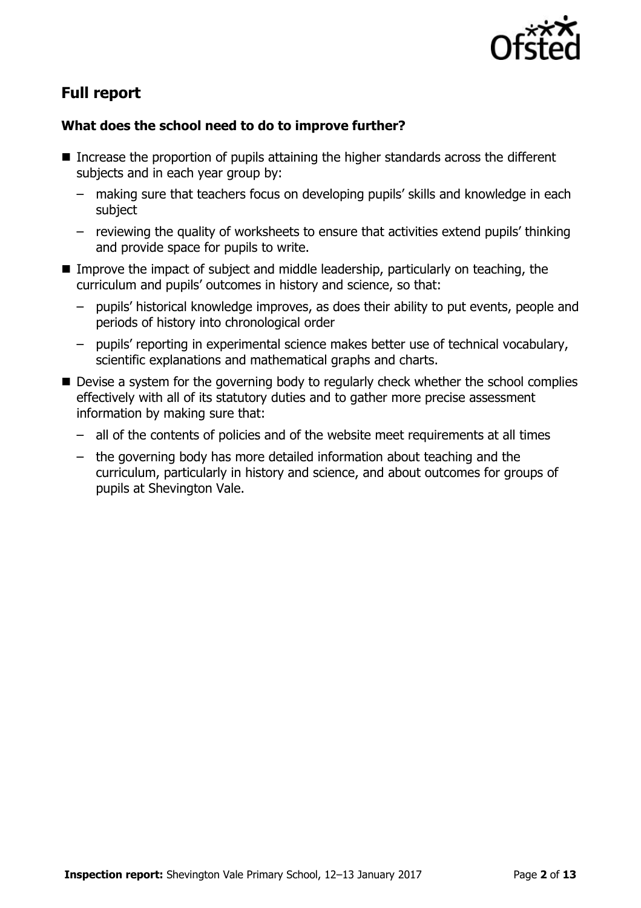

# **Full report**

### **What does the school need to do to improve further?**

- Increase the proportion of pupils attaining the higher standards across the different subjects and in each year group by:
	- making sure that teachers focus on developing pupils' skills and knowledge in each subject
	- reviewing the quality of worksheets to ensure that activities extend pupils' thinking and provide space for pupils to write.
- **IMPROVE THE IMPACT OF SUBJECT AND MIDDE EXAM** DEPARTMENT And TEACHING, the curriculum and pupils' outcomes in history and science, so that:
	- pupils' historical knowledge improves, as does their ability to put events, people and periods of history into chronological order
	- pupils' reporting in experimental science makes better use of technical vocabulary, scientific explanations and mathematical graphs and charts.
- Devise a system for the governing body to regularly check whether the school complies effectively with all of its statutory duties and to gather more precise assessment information by making sure that:
	- all of the contents of policies and of the website meet requirements at all times
	- the governing body has more detailed information about teaching and the curriculum, particularly in history and science, and about outcomes for groups of pupils at Shevington Vale.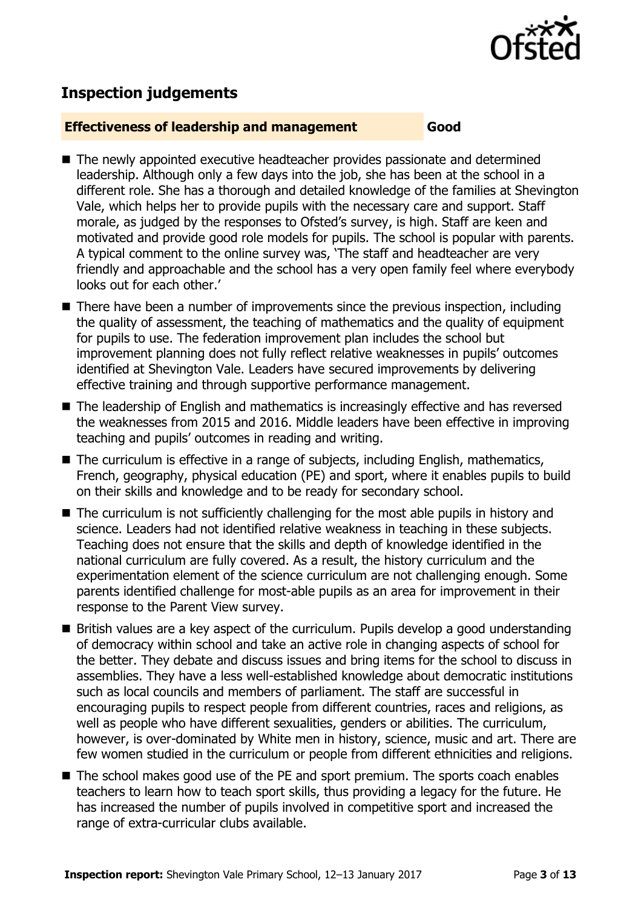

# **Inspection judgements**

#### **Effectiveness of leadership and management Good**

- The newly appointed executive headteacher provides passionate and determined leadership. Although only a few days into the job, she has been at the school in a different role. She has a thorough and detailed knowledge of the families at Shevington Vale, which helps her to provide pupils with the necessary care and support. Staff morale, as judged by the responses to Ofsted's survey, is high. Staff are keen and motivated and provide good role models for pupils. The school is popular with parents. A typical comment to the online survey was, 'The staff and headteacher are very friendly and approachable and the school has a very open family feel where everybody looks out for each other.'
- There have been a number of improvements since the previous inspection, including the quality of assessment, the teaching of mathematics and the quality of equipment for pupils to use. The federation improvement plan includes the school but improvement planning does not fully reflect relative weaknesses in pupils' outcomes identified at Shevington Vale. Leaders have secured improvements by delivering effective training and through supportive performance management.
- The leadership of English and mathematics is increasingly effective and has reversed the weaknesses from 2015 and 2016. Middle leaders have been effective in improving teaching and pupils' outcomes in reading and writing.
- The curriculum is effective in a range of subjects, including English, mathematics, French, geography, physical education (PE) and sport, where it enables pupils to build on their skills and knowledge and to be ready for secondary school.
- The curriculum is not sufficiently challenging for the most able pupils in history and science. Leaders had not identified relative weakness in teaching in these subjects. Teaching does not ensure that the skills and depth of knowledge identified in the national curriculum are fully covered. As a result, the history curriculum and the experimentation element of the science curriculum are not challenging enough. Some parents identified challenge for most-able pupils as an area for improvement in their response to the Parent View survey.
- British values are a key aspect of the curriculum. Pupils develop a good understanding of democracy within school and take an active role in changing aspects of school for the better. They debate and discuss issues and bring items for the school to discuss in assemblies. They have a less well-established knowledge about democratic institutions such as local councils and members of parliament. The staff are successful in encouraging pupils to respect people from different countries, races and religions, as well as people who have different sexualities, genders or abilities. The curriculum, however, is over-dominated by White men in history, science, music and art. There are few women studied in the curriculum or people from different ethnicities and religions.
- The school makes good use of the PE and sport premium. The sports coach enables teachers to learn how to teach sport skills, thus providing a legacy for the future. He has increased the number of pupils involved in competitive sport and increased the range of extra-curricular clubs available.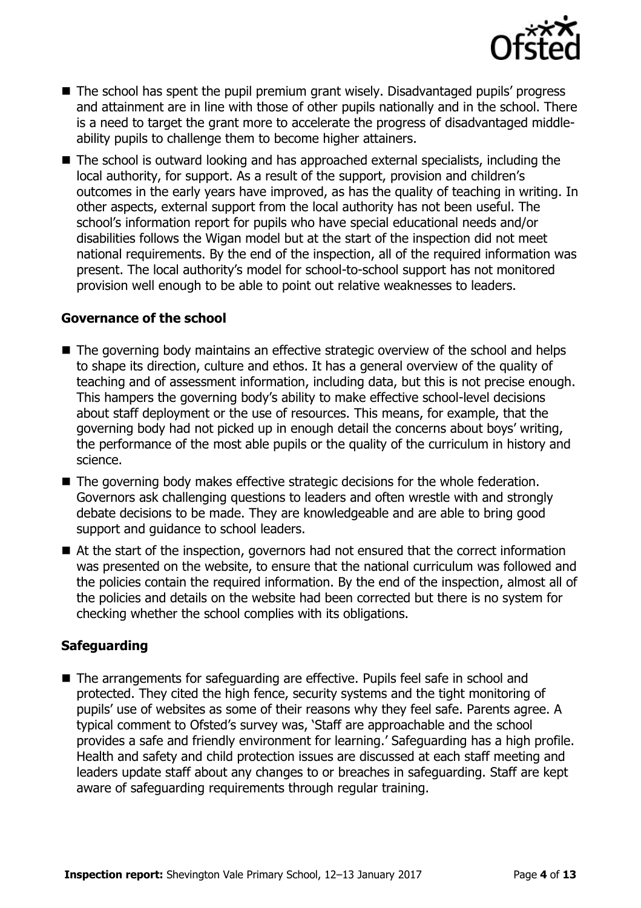

- The school has spent the pupil premium grant wisely. Disadvantaged pupils' progress and attainment are in line with those of other pupils nationally and in the school. There is a need to target the grant more to accelerate the progress of disadvantaged middleability pupils to challenge them to become higher attainers.
- The school is outward looking and has approached external specialists, including the local authority, for support. As a result of the support, provision and children's outcomes in the early years have improved, as has the quality of teaching in writing. In other aspects, external support from the local authority has not been useful. The school's information report for pupils who have special educational needs and/or disabilities follows the Wigan model but at the start of the inspection did not meet national requirements. By the end of the inspection, all of the required information was present. The local authority's model for school-to-school support has not monitored provision well enough to be able to point out relative weaknesses to leaders.

#### **Governance of the school**

- The governing body maintains an effective strategic overview of the school and helps to shape its direction, culture and ethos. It has a general overview of the quality of teaching and of assessment information, including data, but this is not precise enough. This hampers the governing body's ability to make effective school-level decisions about staff deployment or the use of resources. This means, for example, that the governing body had not picked up in enough detail the concerns about boys' writing, the performance of the most able pupils or the quality of the curriculum in history and science.
- The governing body makes effective strategic decisions for the whole federation. Governors ask challenging questions to leaders and often wrestle with and strongly debate decisions to be made. They are knowledgeable and are able to bring good support and guidance to school leaders.
- At the start of the inspection, governors had not ensured that the correct information was presented on the website, to ensure that the national curriculum was followed and the policies contain the required information. By the end of the inspection, almost all of the policies and details on the website had been corrected but there is no system for checking whether the school complies with its obligations.

### **Safeguarding**

■ The arrangements for safeguarding are effective. Pupils feel safe in school and protected. They cited the high fence, security systems and the tight monitoring of pupils' use of websites as some of their reasons why they feel safe. Parents agree. A typical comment to Ofsted's survey was, 'Staff are approachable and the school provides a safe and friendly environment for learning.' Safeguarding has a high profile. Health and safety and child protection issues are discussed at each staff meeting and leaders update staff about any changes to or breaches in safeguarding. Staff are kept aware of safeguarding requirements through regular training.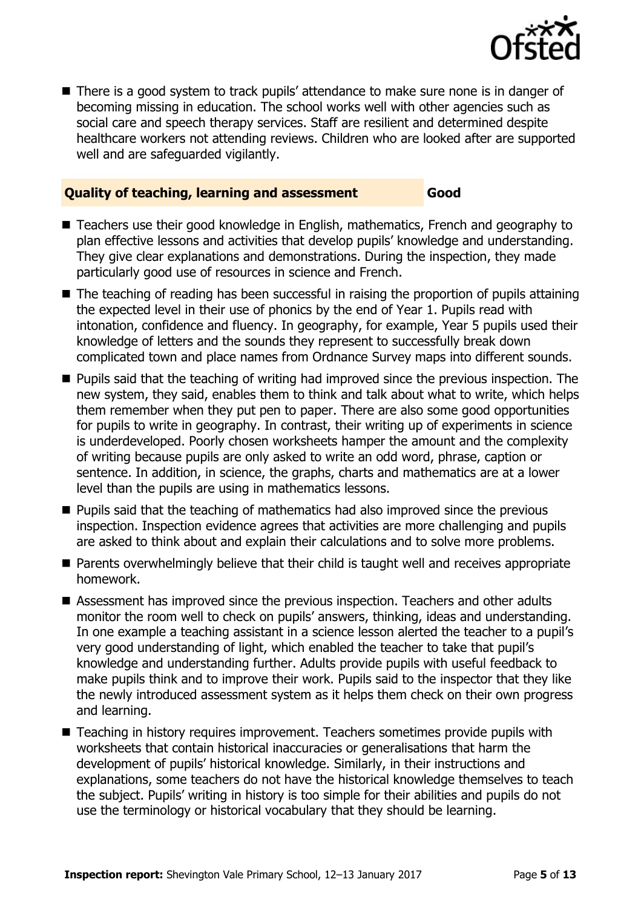

■ There is a good system to track pupils' attendance to make sure none is in danger of becoming missing in education. The school works well with other agencies such as social care and speech therapy services. Staff are resilient and determined despite healthcare workers not attending reviews. Children who are looked after are supported well and are safeguarded vigilantly.

#### **Quality of teaching, learning and assessment Good**

- Teachers use their good knowledge in English, mathematics, French and geography to plan effective lessons and activities that develop pupils' knowledge and understanding. They give clear explanations and demonstrations. During the inspection, they made particularly good use of resources in science and French.
- The teaching of reading has been successful in raising the proportion of pupils attaining the expected level in their use of phonics by the end of Year 1. Pupils read with intonation, confidence and fluency. In geography, for example, Year 5 pupils used their knowledge of letters and the sounds they represent to successfully break down complicated town and place names from Ordnance Survey maps into different sounds.
- **Pupils said that the teaching of writing had improved since the previous inspection. The** new system, they said, enables them to think and talk about what to write, which helps them remember when they put pen to paper. There are also some good opportunities for pupils to write in geography. In contrast, their writing up of experiments in science is underdeveloped. Poorly chosen worksheets hamper the amount and the complexity of writing because pupils are only asked to write an odd word, phrase, caption or sentence. In addition, in science, the graphs, charts and mathematics are at a lower level than the pupils are using in mathematics lessons.
- **Pupils said that the teaching of mathematics had also improved since the previous** inspection. Inspection evidence agrees that activities are more challenging and pupils are asked to think about and explain their calculations and to solve more problems.
- **Parents overwhelmingly believe that their child is taught well and receives appropriate** homework.
- Assessment has improved since the previous inspection. Teachers and other adults monitor the room well to check on pupils' answers, thinking, ideas and understanding. In one example a teaching assistant in a science lesson alerted the teacher to a pupil's very good understanding of light, which enabled the teacher to take that pupil's knowledge and understanding further. Adults provide pupils with useful feedback to make pupils think and to improve their work. Pupils said to the inspector that they like the newly introduced assessment system as it helps them check on their own progress and learning.
- Teaching in history requires improvement. Teachers sometimes provide pupils with worksheets that contain historical inaccuracies or generalisations that harm the development of pupils' historical knowledge. Similarly, in their instructions and explanations, some teachers do not have the historical knowledge themselves to teach the subject. Pupils' writing in history is too simple for their abilities and pupils do not use the terminology or historical vocabulary that they should be learning.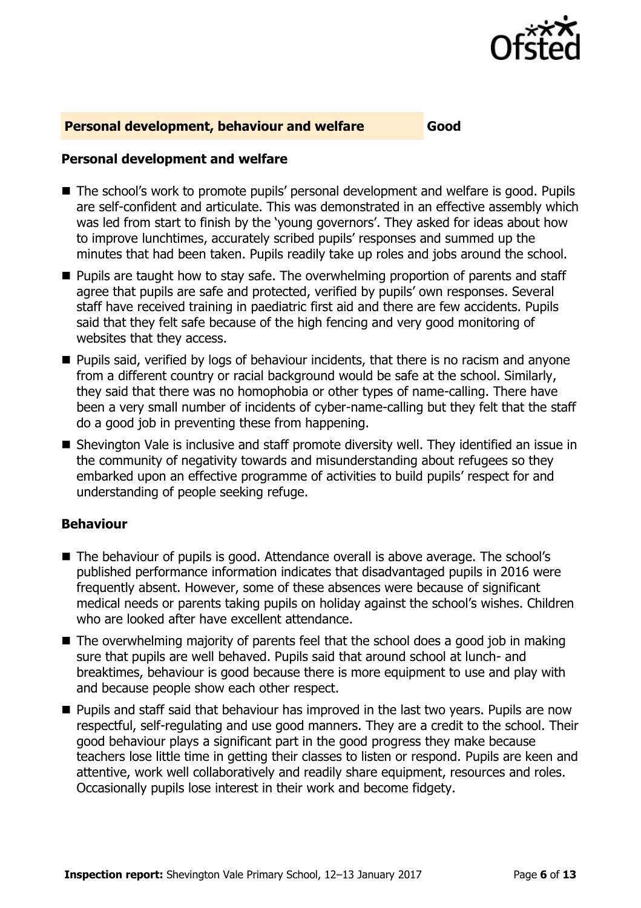

#### **Personal development, behaviour and welfare Good**

#### **Personal development and welfare**

- The school's work to promote pupils' personal development and welfare is good. Pupils are self-confident and articulate. This was demonstrated in an effective assembly which was led from start to finish by the 'young governors'. They asked for ideas about how to improve lunchtimes, accurately scribed pupils' responses and summed up the minutes that had been taken. Pupils readily take up roles and jobs around the school.
- $\blacksquare$  Pupils are taught how to stay safe. The overwhelming proportion of parents and staff agree that pupils are safe and protected, verified by pupils' own responses. Several staff have received training in paediatric first aid and there are few accidents. Pupils said that they felt safe because of the high fencing and very good monitoring of websites that they access.
- **Pupils said, verified by logs of behaviour incidents, that there is no racism and anyone** from a different country or racial background would be safe at the school. Similarly, they said that there was no homophobia or other types of name-calling. There have been a very small number of incidents of cyber-name-calling but they felt that the staff do a good job in preventing these from happening.
- Shevington Vale is inclusive and staff promote diversity well. They identified an issue in the community of negativity towards and misunderstanding about refugees so they embarked upon an effective programme of activities to build pupils' respect for and understanding of people seeking refuge.

#### **Behaviour**

- The behaviour of pupils is good. Attendance overall is above average. The school's published performance information indicates that disadvantaged pupils in 2016 were frequently absent. However, some of these absences were because of significant medical needs or parents taking pupils on holiday against the school's wishes. Children who are looked after have excellent attendance.
- $\blacksquare$  The overwhelming majority of parents feel that the school does a good job in making sure that pupils are well behaved. Pupils said that around school at lunch- and breaktimes, behaviour is good because there is more equipment to use and play with and because people show each other respect.
- **Pupils and staff said that behaviour has improved in the last two years. Pupils are now** respectful, self-regulating and use good manners. They are a credit to the school. Their good behaviour plays a significant part in the good progress they make because teachers lose little time in getting their classes to listen or respond. Pupils are keen and attentive, work well collaboratively and readily share equipment, resources and roles. Occasionally pupils lose interest in their work and become fidgety.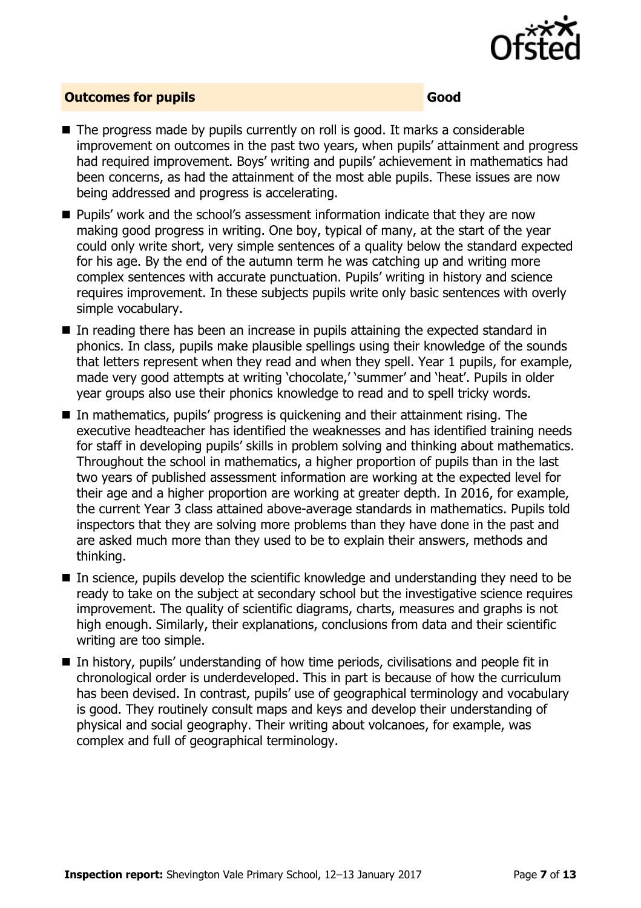

#### **Outcomes for pupils Good**

- $\blacksquare$  The progress made by pupils currently on roll is good. It marks a considerable improvement on outcomes in the past two years, when pupils' attainment and progress had required improvement. Boys' writing and pupils' achievement in mathematics had been concerns, as had the attainment of the most able pupils. These issues are now being addressed and progress is accelerating.
- **Pupils'** work and the school's assessment information indicate that they are now making good progress in writing. One boy, typical of many, at the start of the year could only write short, very simple sentences of a quality below the standard expected for his age. By the end of the autumn term he was catching up and writing more complex sentences with accurate punctuation. Pupils' writing in history and science requires improvement. In these subjects pupils write only basic sentences with overly simple vocabulary.
- In reading there has been an increase in pupils attaining the expected standard in phonics. In class, pupils make plausible spellings using their knowledge of the sounds that letters represent when they read and when they spell. Year 1 pupils, for example, made very good attempts at writing 'chocolate,' 'summer' and 'heat'. Pupils in older year groups also use their phonics knowledge to read and to spell tricky words.
- In mathematics, pupils' progress is quickening and their attainment rising. The executive headteacher has identified the weaknesses and has identified training needs for staff in developing pupils' skills in problem solving and thinking about mathematics. Throughout the school in mathematics, a higher proportion of pupils than in the last two years of published assessment information are working at the expected level for their age and a higher proportion are working at greater depth. In 2016, for example, the current Year 3 class attained above-average standards in mathematics. Pupils told inspectors that they are solving more problems than they have done in the past and are asked much more than they used to be to explain their answers, methods and thinking.
- $\blacksquare$  In science, pupils develop the scientific knowledge and understanding they need to be ready to take on the subject at secondary school but the investigative science requires improvement. The quality of scientific diagrams, charts, measures and graphs is not high enough. Similarly, their explanations, conclusions from data and their scientific writing are too simple.
- In history, pupils' understanding of how time periods, civilisations and people fit in chronological order is underdeveloped. This in part is because of how the curriculum has been devised. In contrast, pupils' use of geographical terminology and vocabulary is good. They routinely consult maps and keys and develop their understanding of physical and social geography. Their writing about volcanoes, for example, was complex and full of geographical terminology.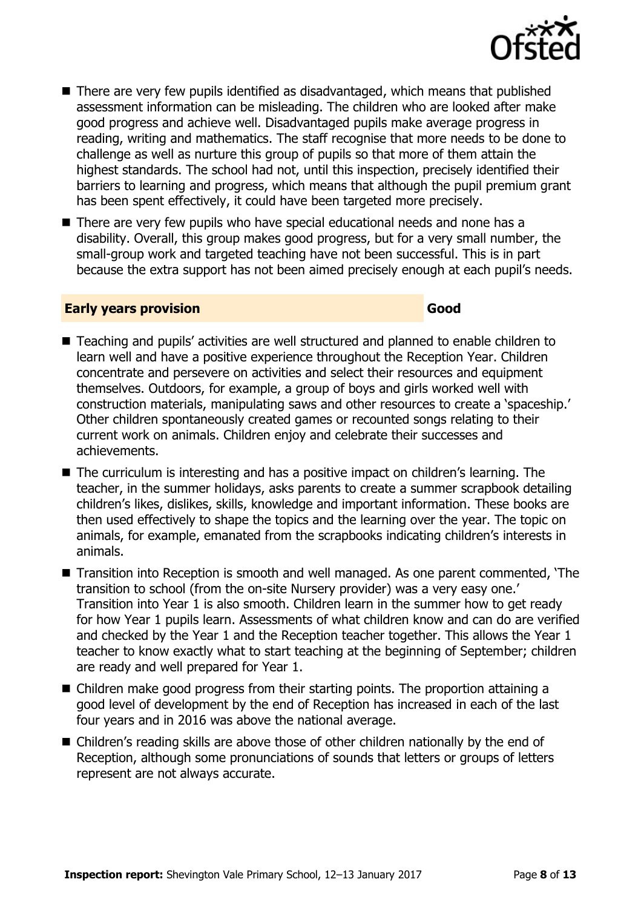

- There are very few pupils identified as disadvantaged, which means that published assessment information can be misleading. The children who are looked after make good progress and achieve well. Disadvantaged pupils make average progress in reading, writing and mathematics. The staff recognise that more needs to be done to challenge as well as nurture this group of pupils so that more of them attain the highest standards. The school had not, until this inspection, precisely identified their barriers to learning and progress, which means that although the pupil premium grant has been spent effectively, it could have been targeted more precisely.
- There are very few pupils who have special educational needs and none has a disability. Overall, this group makes good progress, but for a very small number, the small-group work and targeted teaching have not been successful. This is in part because the extra support has not been aimed precisely enough at each pupil's needs.

#### **Early years provision Good Good**

- Teaching and pupils' activities are well structured and planned to enable children to learn well and have a positive experience throughout the Reception Year. Children concentrate and persevere on activities and select their resources and equipment themselves. Outdoors, for example, a group of boys and girls worked well with construction materials, manipulating saws and other resources to create a 'spaceship.' Other children spontaneously created games or recounted songs relating to their current work on animals. Children enjoy and celebrate their successes and achievements.
- The curriculum is interesting and has a positive impact on children's learning. The teacher, in the summer holidays, asks parents to create a summer scrapbook detailing children's likes, dislikes, skills, knowledge and important information. These books are then used effectively to shape the topics and the learning over the year. The topic on animals, for example, emanated from the scrapbooks indicating children's interests in animals.
- Transition into Reception is smooth and well managed. As one parent commented, 'The transition to school (from the on-site Nursery provider) was a very easy one.' Transition into Year 1 is also smooth. Children learn in the summer how to get ready for how Year 1 pupils learn. Assessments of what children know and can do are verified and checked by the Year 1 and the Reception teacher together. This allows the Year 1 teacher to know exactly what to start teaching at the beginning of September; children are ready and well prepared for Year 1.
- Children make good progress from their starting points. The proportion attaining a good level of development by the end of Reception has increased in each of the last four years and in 2016 was above the national average.
- Children's reading skills are above those of other children nationally by the end of Reception, although some pronunciations of sounds that letters or groups of letters represent are not always accurate.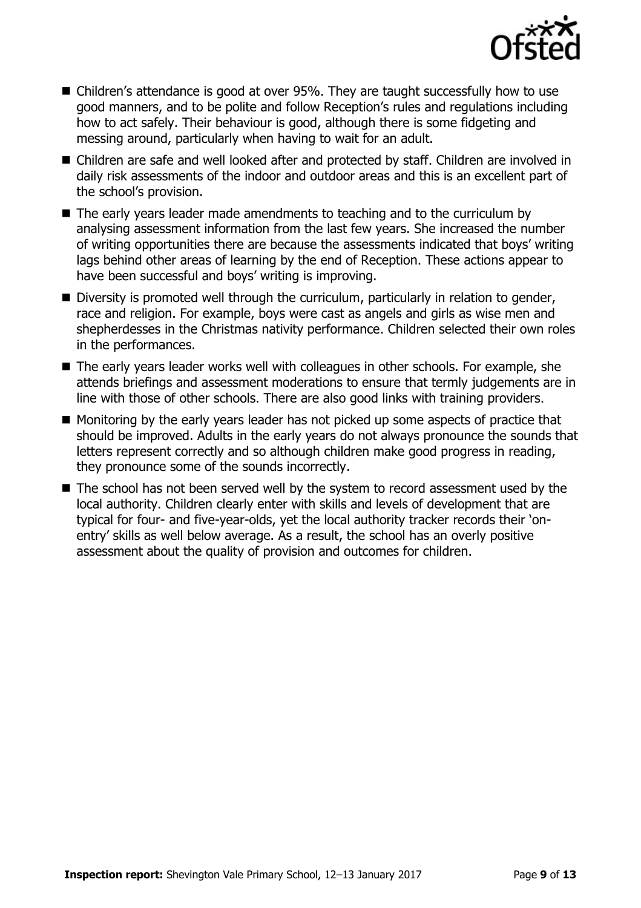

- Children's attendance is good at over 95%. They are taught successfully how to use good manners, and to be polite and follow Reception's rules and regulations including how to act safely. Their behaviour is good, although there is some fidgeting and messing around, particularly when having to wait for an adult.
- Children are safe and well looked after and protected by staff. Children are involved in daily risk assessments of the indoor and outdoor areas and this is an excellent part of the school's provision.
- The early years leader made amendments to teaching and to the curriculum by analysing assessment information from the last few years. She increased the number of writing opportunities there are because the assessments indicated that boys' writing lags behind other areas of learning by the end of Reception. These actions appear to have been successful and boys' writing is improving.
- Diversity is promoted well through the curriculum, particularly in relation to gender, race and religion. For example, boys were cast as angels and girls as wise men and shepherdesses in the Christmas nativity performance. Children selected their own roles in the performances.
- The early years leader works well with colleagues in other schools. For example, she attends briefings and assessment moderations to ensure that termly judgements are in line with those of other schools. There are also good links with training providers.
- **Monitoring by the early years leader has not picked up some aspects of practice that** should be improved. Adults in the early years do not always pronounce the sounds that letters represent correctly and so although children make good progress in reading, they pronounce some of the sounds incorrectly.
- The school has not been served well by the system to record assessment used by the local authority. Children clearly enter with skills and levels of development that are typical for four- and five-year-olds, yet the local authority tracker records their 'onentry' skills as well below average. As a result, the school has an overly positive assessment about the quality of provision and outcomes for children.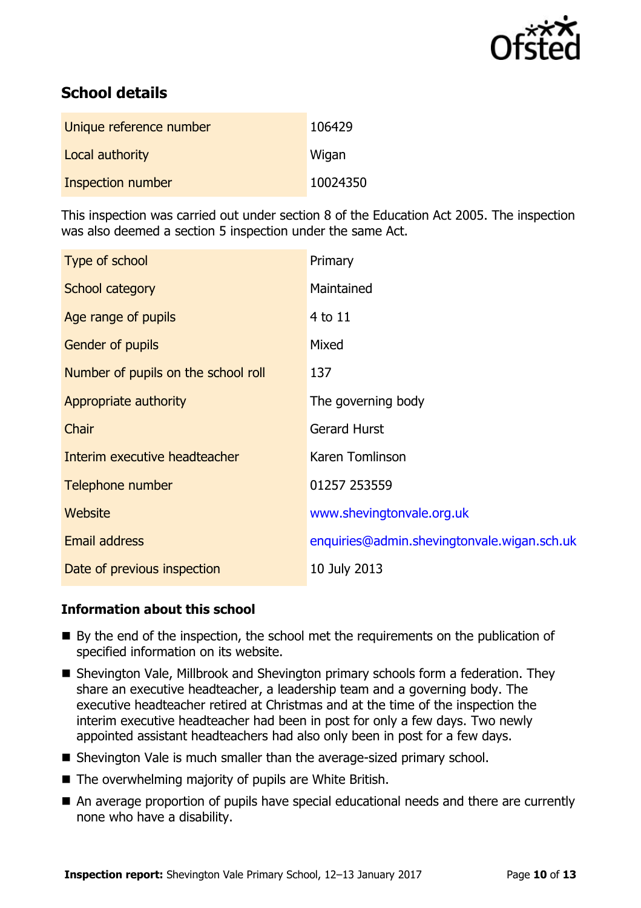

# **School details**

| Unique reference number | 106429   |
|-------------------------|----------|
| Local authority         | Wigan    |
| Inspection number       | 10024350 |

This inspection was carried out under section 8 of the Education Act 2005. The inspection was also deemed a section 5 inspection under the same Act.

| Type of school                      | Primary                                     |
|-------------------------------------|---------------------------------------------|
| School category                     | Maintained                                  |
| Age range of pupils                 | 4 to 11                                     |
| Gender of pupils                    | Mixed                                       |
| Number of pupils on the school roll | 137                                         |
| Appropriate authority               | The governing body                          |
| Chair                               | <b>Gerard Hurst</b>                         |
| Interim executive headteacher       | Karen Tomlinson                             |
| Telephone number                    | 01257 253559                                |
| <b>Website</b>                      | www.shevingtonvale.org.uk                   |
| <b>Email address</b>                | enquiries@admin.shevingtonvale.wigan.sch.uk |
| Date of previous inspection         | 10 July 2013                                |

### **Information about this school**

- By the end of the inspection, the school met the requirements on the publication of specified information on its website.
- Shevington Vale, Millbrook and Shevington primary schools form a federation. They share an executive headteacher, a leadership team and a governing body. The executive headteacher retired at Christmas and at the time of the inspection the interim executive headteacher had been in post for only a few days. Two newly appointed assistant headteachers had also only been in post for a few days.
- Shevington Vale is much smaller than the average-sized primary school.
- The overwhelming majority of pupils are White British.
- An average proportion of pupils have special educational needs and there are currently none who have a disability.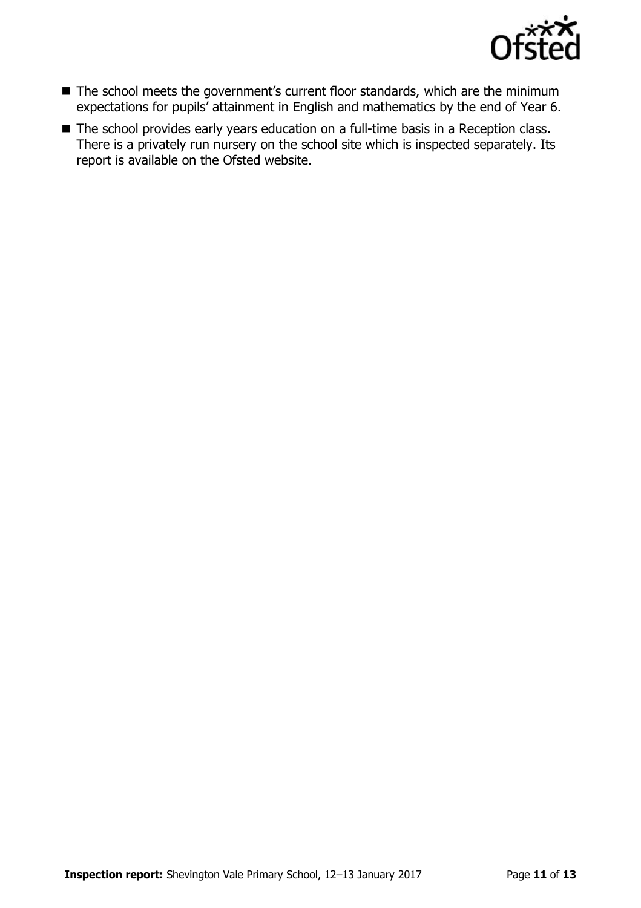

- The school meets the government's current floor standards, which are the minimum expectations for pupils' attainment in English and mathematics by the end of Year 6.
- The school provides early years education on a full-time basis in a Reception class. There is a privately run nursery on the school site which is inspected separately. Its report is available on the Ofsted website.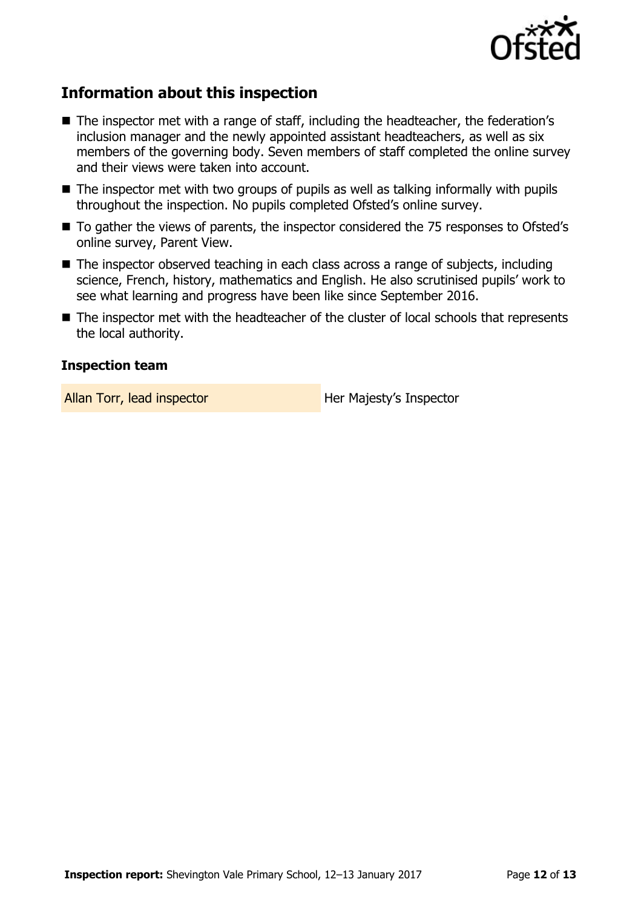

# **Information about this inspection**

- The inspector met with a range of staff, including the headteacher, the federation's inclusion manager and the newly appointed assistant headteachers, as well as six members of the governing body. Seven members of staff completed the online survey and their views were taken into account.
- The inspector met with two groups of pupils as well as talking informally with pupils throughout the inspection. No pupils completed Ofsted's online survey.
- To gather the views of parents, the inspector considered the 75 responses to Ofsted's online survey, Parent View.
- The inspector observed teaching in each class across a range of subjects, including science, French, history, mathematics and English. He also scrutinised pupils' work to see what learning and progress have been like since September 2016.
- The inspector met with the headteacher of the cluster of local schools that represents the local authority.

#### **Inspection team**

Allan Torr, lead inspector **Her Majesty's Inspector**